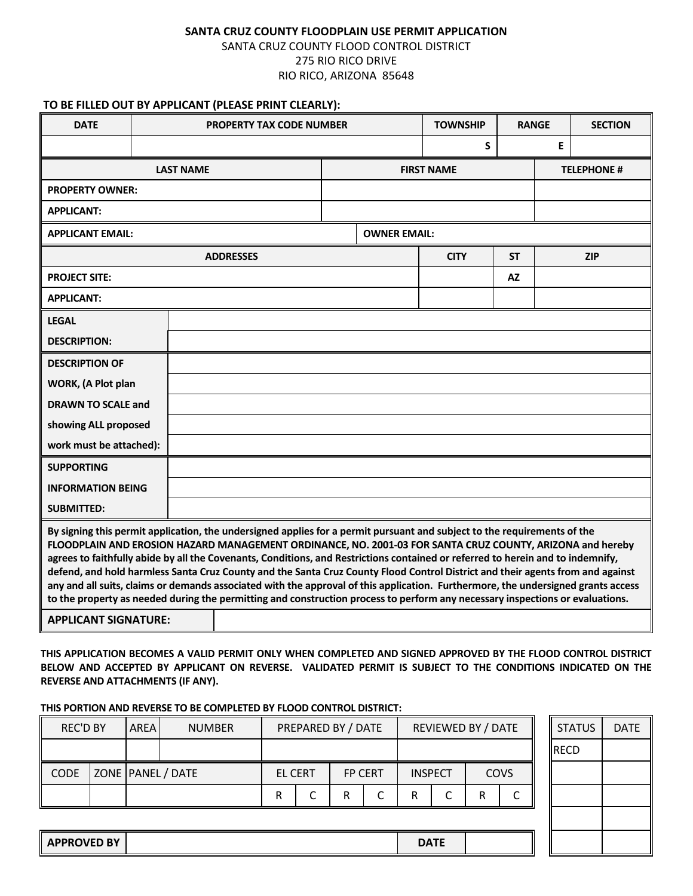## **SANTA CRUZ COUNTY FLOODPLAIN USE PERMIT APPLICATION** SANTA CRUZ COUNTY FLOOD CONTROL DISTRICT 275 RIO RICO DRIVE RIO RICO, ARIZONA 85648

## **TO BE FILLED OUT BY APPLICANT (PLEASE PRINT CLEARLY):**

| <b>DATE</b>                                                                                                                                                                                                                                                                                                                                                                                                                                                                                                                                                                                                                                                                                                                                                                                                     |  |  | <b>PROPERTY TAX CODE NUMBER</b> |  |                     | <b>TOWNSHIP</b> |                    | <b>RANGE</b> | <b>SECTION</b> |  |  |  |
|-----------------------------------------------------------------------------------------------------------------------------------------------------------------------------------------------------------------------------------------------------------------------------------------------------------------------------------------------------------------------------------------------------------------------------------------------------------------------------------------------------------------------------------------------------------------------------------------------------------------------------------------------------------------------------------------------------------------------------------------------------------------------------------------------------------------|--|--|---------------------------------|--|---------------------|-----------------|--------------------|--------------|----------------|--|--|--|
|                                                                                                                                                                                                                                                                                                                                                                                                                                                                                                                                                                                                                                                                                                                                                                                                                 |  |  |                                 |  |                     |                 | S                  |              | Е              |  |  |  |
| <b>LAST NAME</b>                                                                                                                                                                                                                                                                                                                                                                                                                                                                                                                                                                                                                                                                                                                                                                                                |  |  |                                 |  | <b>FIRST NAME</b>   |                 | <b>TELEPHONE #</b> |              |                |  |  |  |
| <b>PROPERTY OWNER:</b>                                                                                                                                                                                                                                                                                                                                                                                                                                                                                                                                                                                                                                                                                                                                                                                          |  |  |                                 |  |                     |                 |                    |              |                |  |  |  |
| <b>APPLICANT:</b>                                                                                                                                                                                                                                                                                                                                                                                                                                                                                                                                                                                                                                                                                                                                                                                               |  |  |                                 |  |                     |                 |                    |              |                |  |  |  |
| <b>APPLICANT EMAIL:</b>                                                                                                                                                                                                                                                                                                                                                                                                                                                                                                                                                                                                                                                                                                                                                                                         |  |  |                                 |  | <b>OWNER EMAIL:</b> |                 |                    |              |                |  |  |  |
| <b>ADDRESSES</b>                                                                                                                                                                                                                                                                                                                                                                                                                                                                                                                                                                                                                                                                                                                                                                                                |  |  |                                 |  |                     | <b>CITY</b>     | <b>ZIP</b>         |              |                |  |  |  |
| <b>PROJECT SITE:</b>                                                                                                                                                                                                                                                                                                                                                                                                                                                                                                                                                                                                                                                                                                                                                                                            |  |  |                                 |  |                     |                 |                    |              |                |  |  |  |
| <b>APPLICANT:</b>                                                                                                                                                                                                                                                                                                                                                                                                                                                                                                                                                                                                                                                                                                                                                                                               |  |  |                                 |  |                     |                 |                    |              |                |  |  |  |
| <b>LEGAL</b>                                                                                                                                                                                                                                                                                                                                                                                                                                                                                                                                                                                                                                                                                                                                                                                                    |  |  |                                 |  |                     |                 |                    |              |                |  |  |  |
| <b>DESCRIPTION:</b>                                                                                                                                                                                                                                                                                                                                                                                                                                                                                                                                                                                                                                                                                                                                                                                             |  |  |                                 |  |                     |                 |                    |              |                |  |  |  |
| <b>DESCRIPTION OF</b>                                                                                                                                                                                                                                                                                                                                                                                                                                                                                                                                                                                                                                                                                                                                                                                           |  |  |                                 |  |                     |                 |                    |              |                |  |  |  |
| WORK, (A Plot plan                                                                                                                                                                                                                                                                                                                                                                                                                                                                                                                                                                                                                                                                                                                                                                                              |  |  |                                 |  |                     |                 |                    |              |                |  |  |  |
| <b>DRAWN TO SCALE and</b>                                                                                                                                                                                                                                                                                                                                                                                                                                                                                                                                                                                                                                                                                                                                                                                       |  |  |                                 |  |                     |                 |                    |              |                |  |  |  |
| showing ALL proposed                                                                                                                                                                                                                                                                                                                                                                                                                                                                                                                                                                                                                                                                                                                                                                                            |  |  |                                 |  |                     |                 |                    |              |                |  |  |  |
| work must be attached):                                                                                                                                                                                                                                                                                                                                                                                                                                                                                                                                                                                                                                                                                                                                                                                         |  |  |                                 |  |                     |                 |                    |              |                |  |  |  |
| <b>SUPPORTING</b>                                                                                                                                                                                                                                                                                                                                                                                                                                                                                                                                                                                                                                                                                                                                                                                               |  |  |                                 |  |                     |                 |                    |              |                |  |  |  |
| <b>INFORMATION BEING</b>                                                                                                                                                                                                                                                                                                                                                                                                                                                                                                                                                                                                                                                                                                                                                                                        |  |  |                                 |  |                     |                 |                    |              |                |  |  |  |
| <b>SUBMITTED:</b>                                                                                                                                                                                                                                                                                                                                                                                                                                                                                                                                                                                                                                                                                                                                                                                               |  |  |                                 |  |                     |                 |                    |              |                |  |  |  |
| By signing this permit application, the undersigned applies for a permit pursuant and subject to the requirements of the<br>FLOODPLAIN AND EROSION HAZARD MANAGEMENT ORDINANCE, NO. 2001-03 FOR SANTA CRUZ COUNTY, ARIZONA and hereby<br>agrees to faithfully abide by all the Covenants, Conditions, and Restrictions contained or referred to herein and to indemnify,<br>defend, and hold harmless Santa Cruz County and the Santa Cruz County Flood Control District and their agents from and against<br>any and all suits, claims or demands associated with the approval of this application. Furthermore, the undersigned grants access<br>to the property as needed during the permitting and construction process to perform any necessary inspections or evaluations.<br><b>APPLICANT SIGNATURE:</b> |  |  |                                 |  |                     |                 |                    |              |                |  |  |  |

**THIS APPLICATION BECOMES A VALID PERMIT ONLY WHEN COMPLETED AND SIGNED APPROVED BY THE FLOOD CONTROL DISTRICT BELOW AND ACCEPTED BY APPLICANT ON REVERSE. VALIDATED PERMIT IS SUBJECT TO THE CONDITIONS INDICATED ON THE REVERSE AND ATTACHMENTS (IF ANY).**

## **THIS PORTION AND REVERSE TO BE COMPLETED BY FLOOD CONTROL DISTRICT:**

| <b>REC'D BY</b>    |  | <b>AREA</b>       | <b>NUMBER</b> | PREPARED BY / DATE |  |                | REVIEWED BY / DATE |                |        |             | <b>STATUS</b> | <b>DATE</b> |  |
|--------------------|--|-------------------|---------------|--------------------|--|----------------|--------------------|----------------|--------|-------------|---------------|-------------|--|
|                    |  |                   |               |                    |  |                |                    |                |        |             | RECD          |             |  |
| <b>CODE</b>        |  | ZONE PANEL / DATE |               | <b>EL CERT</b>     |  | <b>FP CERT</b> |                    | <b>INSPECT</b> |        | <b>COVS</b> |               |             |  |
|                    |  |                   |               | R                  |  | R              | ◡                  | R              | r<br>◡ | R           |               |             |  |
|                    |  |                   |               |                    |  |                |                    |                |        |             |               |             |  |
| <b>APPROVED BY</b> |  |                   |               |                    |  |                |                    | <b>DATE</b>    |        |             |               |             |  |